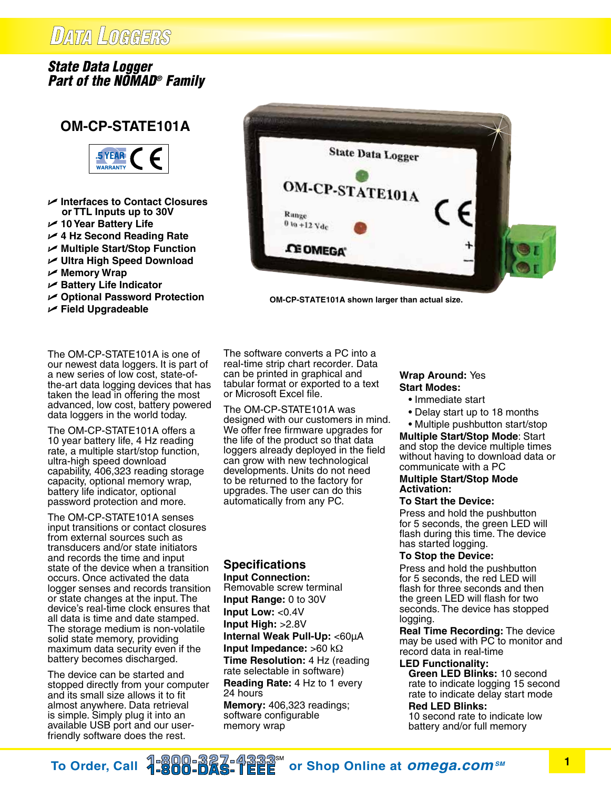# DATA LOGGERS

## *State Data Logger Part of the NOMAD® Family*

## **OM-CP-STATE101A**



- U **Interfaces to Contact Closures or TTL Inputs up to 30V**
- U **10 Year Battery Life**
- U **4 Hz Second Reading Rate**
- U **Multiple Start/Stop Function**
- U **Ultra High Speed Download**
- U **Memory Wrap**
- U **Battery Life Indicator**
- U **Optional Password Protection**
- U **Field Upgradeable**

The OM-CP-STATE101A is one of our newest data loggers. It is part of a new series of low cost, state-ofthe-art data logging devices that has taken the lead in offering the most advanced, low cost, battery powered data loggers in the world today.

The OM-CP-STATE101A offers a 10 year battery life, 4 Hz reading rate, a multiple start/stop function, ultra-high speed download capability, 406,323 reading storage capacity, optional memory wrap, battery life indicator, optional password protection and more.

The OM-CP-STATE101A senses input transitions or contact closures from external sources such as transducers and/or state initiators and records the time and input state of the device when a transition occurs. Once activated the data logger senses and records transition or state changes at the input. The device's real-time clock ensures that all data is time and date stamped. The storage medium is non-volatile solid state memory, providing maximum data security even if the battery becomes discharged.

The device can be started and stopped directly from your computer and its small size allows it to fit almost anywhere. Data retrieval is simple. Simply plug it into an available USB port and our userfriendly software does the rest.

The software converts a PC into a real-time strip chart recorder. Data can be printed in graphical and tabular format or exported to a text or Microsoft Excel file.

Range  $0$  to  $+12$   $Vdc$ 

**CE OMEGA** 

**OM-CP-STATE101A shown larger than actual size.**

**State Data Logger** 

OM-CP-STATE101A

The OM-CP-STATE101A was designed with our customers in mind. We offer free firmware upgrades for the life of the product so that data loggers already deployed in the field can grow with new technological developments. Units do not need to be returned to the factory for upgrades. The user can do this automatically from any PC.

### **Specifications**

**Input Connection:** Removable screw terminal **Input Range:** 0 to 30V **Input Low:** <0.4V **Input High:** >2.8V **Internal Weak Pull-Up:** <60µA **Input Impedance:** >60 kΩ **Time Resolution:** 4 Hz (reading rate selectable in software) **Reading Rate:** 4 Hz to 1 every 24 hours **Memory:** 406,323 readings; software configurable memory wrap

#### **Wrap Around:** Yes **Start Modes:**

- Immediate start
- Delay start up to 18 months
- Multiple pushbutton start/stop

**Multiple Start/Stop Mode**: Start and stop the device multiple times without having to download data or communicate with a PC

#### **Multiple Start/Stop Mode Activation:**

#### **To Start the Device:**

Press and hold the pushbutton for 5 seconds, the green LED will flash during this time. The device has started logging.

#### **To Stop the Device:**

Press and hold the pushbutton for 5 seconds, the red LED will flash for three seconds and then the green LED will flash for two seconds. The device has stopped logging.

**Real Time Recording:** The device may be used with PC to monitor and record data in real-time

### **LED Functionality:**

 **Green LED Blinks:** 10 second rate to indicate logging 15 second rate to indicate delay start mode

#### **Red LED Blinks:**

10 second rate to indicate low battery and/or full memory